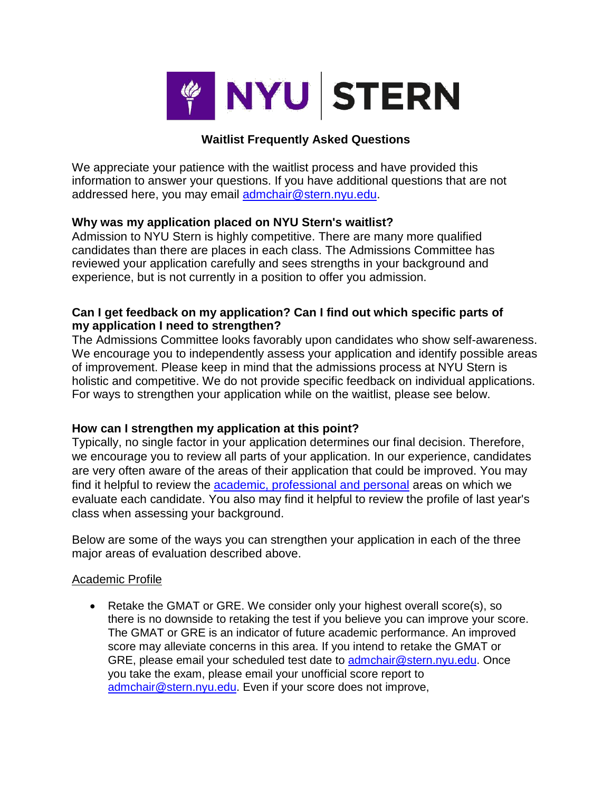

## **Waitlist Frequently Asked Questions**

We appreciate your patience with the waitlist process and have provided this information to answer your questions. If you have additional questions that are not addressed here, you may email admchair@stern.nyu.edu.

## **Why was my application placed on NYU Stern's waitlist?**

Admission to NYU Stern is highly competitive. There are many more qualified candidates than there are places in each class. The Admissions Committee has reviewed your application carefully and sees strengths in your background and experience, but is not currently in a position to offer you admission.

## **Can I get feedback on my application? Can I find out which specific parts of my application I need to strengthen?**

The Admissions Committee looks favorably upon candidates who show self-awareness. We encourage you to independently assess your application and identify possible areas of improvement. Please keep in mind that the admissions process at NYU Stern is holistic and competitive. We do not provide specific feedback on individual applications. For ways to strengthen your application while on the waitlist, please see below.

## **How can I strengthen my application at this point?**

Typically, no single factor in your application determines our final decision. Therefore, we encourage you to review all parts of your application. In our experience, candidates are very often aware of the areas of their application that could be improved. You may find it helpful to review the academic, professional and personal areas on which we evaluate each candidate. You also may find it helpful to review the profile of last year's class when assessing your background.

Below are some of the ways you can strengthen your application in each of the three major areas of evaluation described above.

## Academic Profile

• Retake the GMAT or GRE. We consider only your highest overall score(s), so there is no downside to retaking the test if you believe you can improve your score. The GMAT or GRE is an indicator of future academic performance. An improved score may alleviate concerns in this area. If you intend to retake the GMAT or GRE, please email your scheduled test date to admchair@stern.nyu.edu. Once you take the exam, please email your unofficial score report to admchair@stern.nyu.edu. Even if your score does not improve,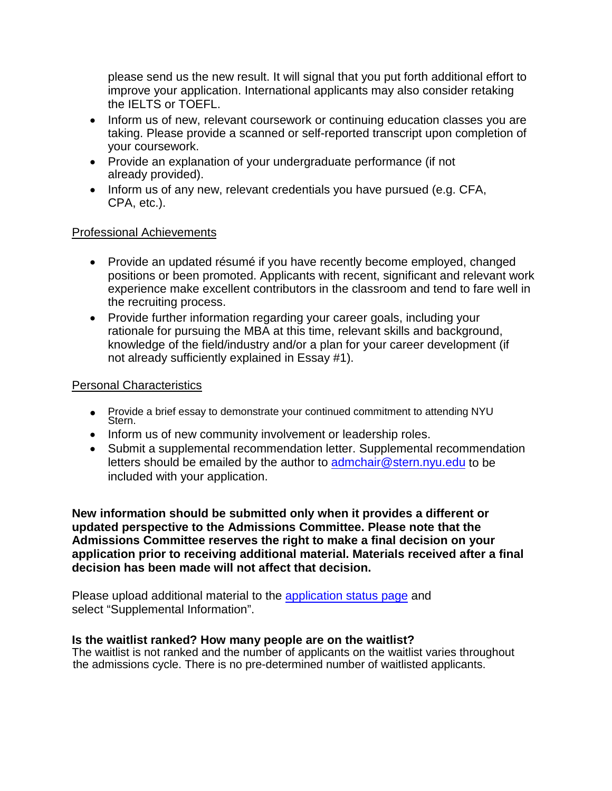please send us the new result. It will signal that you put forth additional effort to improve your application. International applicants may also consider retaking the IELTS or TOEFL.

- Inform us of new, relevant coursework or continuing education classes you are taking. Please provide a scanned or self-reported transcript upon completion of your coursework.
- Provide an explanation of your undergraduate performance (if not already provided).
- Inform us of any new, relevant credentials you have pursued (e.g. CFA, CPA, etc.).

## Professional Achievements

- Provide an updated résumé if you have recently become employed, changed positions or been promoted. Applicants with recent, significant and relevant work experience make excellent contributors in the classroom and tend to fare well in the recruiting process.
- Provide further information regarding your career goals, including your rationale for pursuing the MBA at this time, relevant skills and background, knowledge of the field/industry and/or a plan for your career development (if not already sufficiently explained in Essay #1).

### Personal Characteristics

- Provide a brief essay to demonstrate your continued commitment to attending NYU Stern.
- Inform us of new community involvement or leadership roles.
- Submit a supplemental recommendation letter. Supplemental recommendation letters should be emailed by the author to admchair@stern.nyu.edu to be included with your application.

**New information should be submitted only when it provides a different or updated perspective to the Admissions Committee. Please note that the Admissions Committee reserves the right to make a final decision on your application prior to receiving additional material. Materials received after a final decision has been made will not affect that decision.**

Please upload additional material to the application status page and select "Supplemental Information".

#### **Is the waitlist ranked? How many people are on the waitlist?**

The waitlist is not ranked and the number of applicants on the waitlist varies throughout the admissions cycle. There is no pre-determined number of waitlisted applicants.